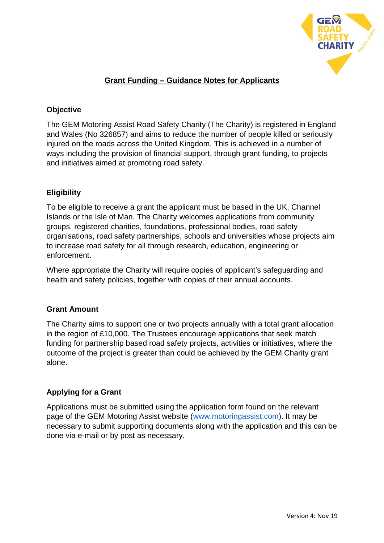

## **Grant Funding – Guidance Notes for Applicants**

## **Objective**

The GEM Motoring Assist Road Safety Charity (The Charity) is registered in England and Wales (No 326857) and aims to reduce the number of people killed or seriously injured on the roads across the United Kingdom. This is achieved in a number of ways including the provision of financial support, through grant funding, to projects and initiatives aimed at promoting road safety.

### **Eligibility**

To be eligible to receive a grant the applicant must be based in the UK, Channel Islands or the Isle of Man. The Charity welcomes applications from community groups, registered charities, foundations, professional bodies, road safety organisations, road safety partnerships, schools and universities whose projects aim to increase road safety for all through research, education, engineering or enforcement.

Where appropriate the Charity will require copies of applicant's safeguarding and health and safety policies, together with copies of their annual accounts.

#### **Grant Amount**

The Charity aims to support one or two projects annually with a total grant allocation in the region of £10,000. The Trustees encourage applications that seek match funding for partnership based road safety projects, activities or initiatives, where the outcome of the project is greater than could be achieved by the GEM Charity grant alone.

#### **Applying for a Grant**

Applications must be submitted using the application form found on the relevant page of the GEM Motoring Assist website [\(www.motoringassist.com\)](http://www.motoringassist.com/). It may be necessary to submit supporting documents along with the application and this can be done via e-mail or by post as necessary.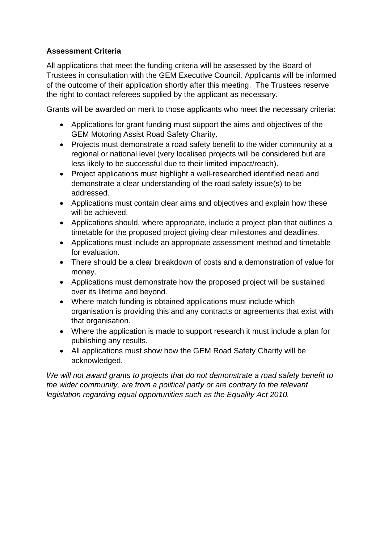# **Assessment Criteria**

All applications that meet the funding criteria will be assessed by the Board of Trustees in consultation with the GEM Executive Council. Applicants will be informed of the outcome of their application shortly after this meeting. The Trustees reserve the right to contact referees supplied by the applicant as necessary.

Grants will be awarded on merit to those applicants who meet the necessary criteria:

- Applications for grant funding must support the aims and objectives of the GEM Motoring Assist Road Safety Charity.
- Projects must demonstrate a road safety benefit to the wider community at a regional or national level (very localised projects will be considered but are less likely to be successful due to their limited impact/reach).
- Project applications must highlight a well-researched identified need and demonstrate a clear understanding of the road safety issue(s) to be addressed.
- Applications must contain clear aims and objectives and explain how these will be achieved.
- Applications should, where appropriate, include a project plan that outlines a timetable for the proposed project giving clear milestones and deadlines.
- Applications must include an appropriate assessment method and timetable for evaluation.
- There should be a clear breakdown of costs and a demonstration of value for money.
- Applications must demonstrate how the proposed project will be sustained over its lifetime and beyond.
- Where match funding is obtained applications must include which organisation is providing this and any contracts or agreements that exist with that organisation.
- Where the application is made to support research it must include a plan for publishing any results.
- All applications must show how the GEM Road Safety Charity will be acknowledged.

*We will not award grants to projects that do not demonstrate a road safety benefit to the wider community, are from a political party or are contrary to the relevant legislation regarding equal opportunities such as the Equality Act 2010.*